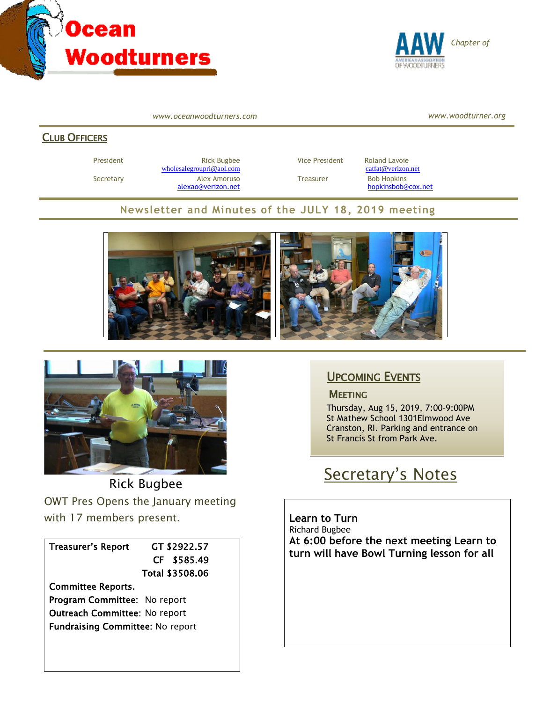



*www.oceanwoodturners.com*

*www.woodturner.org*

#### CLUB OFFICERS

President **Rick Bugbee Rick Bugbee** Vice President Roland Lavoie [wholesalegroupri@aol.com](mailto:wholesalegroupri@aol.com) [catfat@verizon.net](mailto:catfat@verizon.net) Secretary **Alex Amoruso Treasurer** Bob Hopkins

[alexao@verizon.net](mailto:alexao@verizon.net) [hopkinsbob@cox.net](mailto:hopkinsbob@cox.net)

#### **Newsletter and Minutes of the JULY 18, 2019 meeting**





Rick Bugbee OWT Pres Opens the January meeting with 17 members present.

Treasurer's Report GT \$2922.57

 CF \$585.49 Total \$3508.06

Committee Reports. Program Committee: No report Outreach Committee: No report Fundraising Committee: No report

### UPCOMING EVENTS

#### **MEETING**

Thursday, Aug 15, 2019, 7:00–9:00PM St Mathew School 1301Elmwood Ave Cranston, RI. Parking and entrance on St Francis St from Park Ave.

# Secretary's Notes

**Learn to Turn** Richard Bugbee **At 6:00 before the next meeting Learn to turn will have Bowl Turning lesson for all**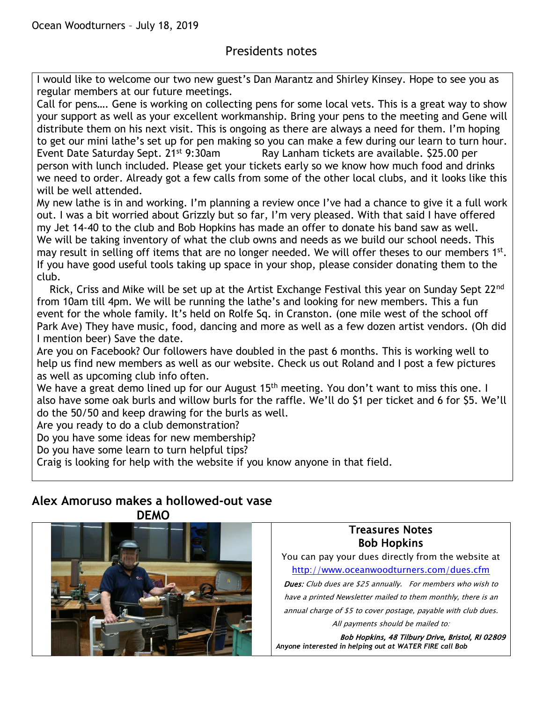### Presidents notes

I would like to welcome our two new guest's Dan Marantz and Shirley Kinsey. Hope to see you as regular members at our future meetings.

Call for pens…. Gene is working on collecting pens for some local vets. This is a great way to show your support as well as your excellent workmanship. Bring your pens to the meeting and Gene will distribute them on his next visit. This is ongoing as there are always a need for them. I'm hoping to get our mini lathe's set up for pen making so you can make a few during our learn to turn hour. Event Date Saturday Sept. 21<sup>st</sup> 9:30am Ray Lanham tickets are available. \$25.00 per person with lunch included. Please get your tickets early so we know how much food and drinks we need to order. Already got a few calls from some of the other local clubs, and it looks like this will be well attended.

My new lathe is in and working. I'm planning a review once I've had a chance to give it a full work out. I was a bit worried about Grizzly but so far, I'm very pleased. With that said I have offered my Jet 14-40 to the club and Bob Hopkins has made an offer to donate his band saw as well. We will be taking inventory of what the club owns and needs as we build our school needs. This may result in selling off items that are no longer needed. We will offer theses to our members 1st. If you have good useful tools taking up space in your shop, please consider donating them to the club.

Rick, Criss and Mike will be set up at the Artist Exchange Festival this year on Sunday Sept 22<sup>nd</sup> from 10am till 4pm. We will be running the lathe's and looking for new members. This a fun event for the whole family. It's held on Rolfe Sq. in Cranston. (one mile west of the school off Park Ave) They have music, food, dancing and more as well as a few dozen artist vendors. (Oh did I mention beer) Save the date.

Are you on Facebook? Our followers have doubled in the past 6 months. This is working well to help us find new members as well as our website. Check us out Roland and I post a few pictures as well as upcoming club info often.

We have a great demo lined up for our August 15<sup>th</sup> meeting. You don't want to miss this one. I also have some oak burls and willow burls for the raffle. We'll do \$1 per ticket and 6 for \$5. We'll do the 50/50 and keep drawing for the burls as well.

Are you ready to do a club demonstration?

Do you have some ideas for new membership?

Do you have some learn to turn helpful tips?

Craig is looking for help with the website if you know anyone in that field.

#### **Alex Amoruso makes a hollowed-out vase DEMO**



#### Treasures Notes Bob Hopkins

You can pay your dues directly from the website at <http://www.oceanwoodturners.com/dues.cfm>

Dues: Club dues are \$25 annually. For members who wish to have a printed Newsletter mailed to them monthly, there is an annual charge of \$5 to cover postage, payable with club dues. All payments should be mailed to:

Bob Hopkins, 48 Tilbury Drive, Bristol, RI 02809 *Anyone interested in helping out at WATER FIRE call Bob*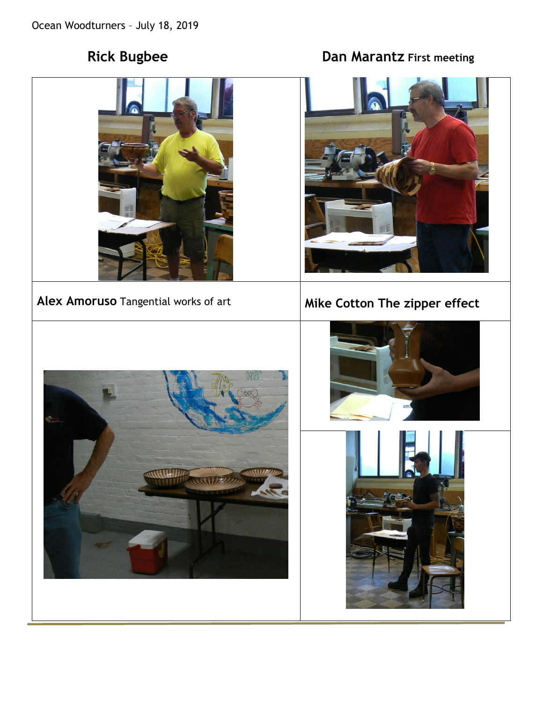# **Rick Bugbee Case Controllering Controllering Dan Marantz First meeting**



## Alex Amoruso Tangential works of art **Mike Cotton The zipper effect**